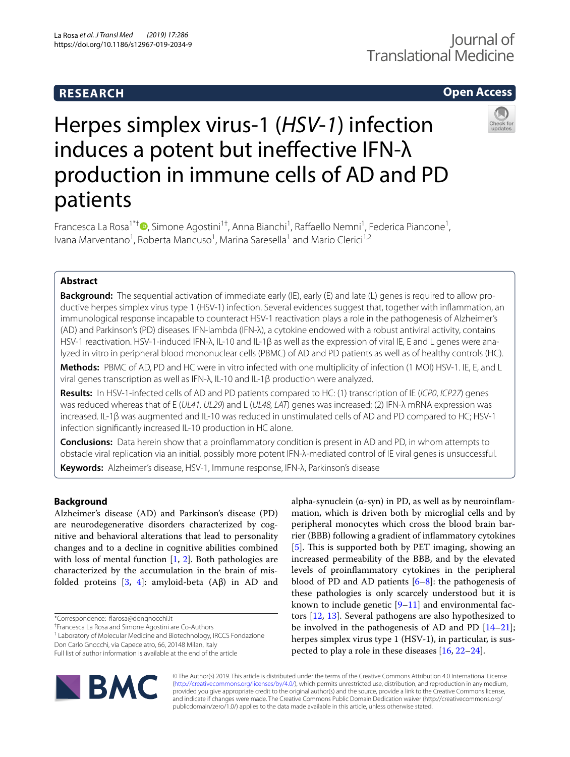# **RESEARCH**

# **Open Access**

# Herpes simplex virus-1 (*HSV*-*1*) infection induces a potent but ineffective IFN-λ production in immune cells of AD and PD patients



Francesca La Rosa<sup>1\*[†](http://orcid.org/0000-0003-3181-9505)</sup><sup>®</sup>, Simone Agostini<sup>1†</sup>, Anna Bianchi<sup>1</sup>, Raffaello Nemni<sup>1</sup>, Federica Piancone<sup>1</sup>, Ivana Marventano<sup>1</sup>, Roberta Mancuso<sup>1</sup>, Marina Saresella<sup>1</sup> and Mario Clerici<sup>1,2</sup>

# **Abstract**

**Background:** The sequential activation of immediate early (IE), early (E) and late (L) genes is required to allow productive herpes simplex virus type 1 (HSV-1) infection. Several evidences suggest that, together with infammation, an immunological response incapable to counteract HSV-1 reactivation plays a role in the pathogenesis of Alzheimer's (AD) and Parkinson's (PD) diseases. IFN-lambda (IFN-λ), a cytokine endowed with a robust antiviral activity, contains HSV-1 reactivation. HSV-1-induced IFN-λ, IL-10 and IL-1β as well as the expression of viral IE, E and L genes were analyzed in vitro in peripheral blood mononuclear cells (PBMC) of AD and PD patients as well as of healthy controls (HC).

**Methods:** PBMC of AD, PD and HC were in vitro infected with one multiplicity of infection (1 MOI) HSV-1. IE, E, and L viral genes transcription as well as IFN-λ, IL-10 and IL-1β production were analyzed.

**Results:** In HSV-1-infected cells of AD and PD patients compared to HC: (1) transcription of IE (*ICP0*, *ICP27*) genes was reduced whereas that of E (*UL41, UL29*) and L (*UL48, LAT*) genes was increased; (2) IFN-λ mRNA expression was increased. IL-1β was augmented and IL-10 was reduced in unstimulated cells of AD and PD compared to HC; HSV-1 infection signifcantly increased IL-10 production in HC alone.

**Conclusions:** Data herein show that a proinfammatory condition is present in AD and PD, in whom attempts to obstacle viral replication via an initial, possibly more potent IFN-λ-mediated control of IE viral genes is unsuccessful. **Keywords:** Alzheimer's disease, HSV-1, Immune response, IFN-λ, Parkinson's disease

# **Background**

Alzheimer's disease (AD) and Parkinson's disease (PD) are neurodegenerative disorders characterized by cognitive and behavioral alterations that lead to personality changes and to a decline in cognitive abilities combined with loss of mental function  $[1, 2]$  $[1, 2]$  $[1, 2]$  $[1, 2]$  $[1, 2]$ . Both pathologies are characterized by the accumulation in the brain of misfolded proteins [\[3](#page-8-2), [4\]](#page-8-3): amyloid-beta (Aβ) in AD and

<sup>1</sup> Laboratory of Molecular Medicine and Biotechnology, IRCCS Fondazione

Don Carlo Gnocchi, via Capecelatro, 66, 20148 Milan, Italy

Full list of author information is available at the end of the article



alpha-synuclein ( $\alpha$ -syn) in PD, as well as by neuroinflammation, which is driven both by microglial cells and by peripheral monocytes which cross the blood brain barrier (BBB) following a gradient of infammatory cytokines [[5\]](#page-8-4). This is supported both by PET imaging, showing an increased permeability of the BBB, and by the elevated levels of proinfammatory cytokines in the peripheral blood of PD and AD patients  $[6-8]$  $[6-8]$  $[6-8]$ : the pathogenesis of these pathologies is only scarcely understood but it is known to include genetic  $[9-11]$  $[9-11]$  $[9-11]$  and environmental factors [[12,](#page-8-9) [13\]](#page-8-10). Several pathogens are also hypothesized to be involved in the pathogenesis of AD and PD [[14](#page-8-11)[–21](#page-8-12)]; herpes simplex virus type 1 (HSV-1), in particular, is suspected to play a role in these diseases [[16,](#page-8-13) [22](#page-8-14)–[24\]](#page-8-15).

© The Author(s) 2019. This article is distributed under the terms of the Creative Commons Attribution 4.0 International License [\(http://creativecommons.org/licenses/by/4.0/\)](http://creativecommons.org/licenses/by/4.0/), which permits unrestricted use, distribution, and reproduction in any medium, provided you give appropriate credit to the original author(s) and the source, provide a link to the Creative Commons license, and indicate if changes were made. The Creative Commons Public Domain Dedication waiver (http://creativecommons.org/ publicdomain/zero/1.0/) applies to the data made available in this article, unless otherwise stated.

<sup>\*</sup>Correspondence: farosa@dongnocchi.it

<sup>†</sup> Francesca La Rosa and Simone Agostini are Co-Authors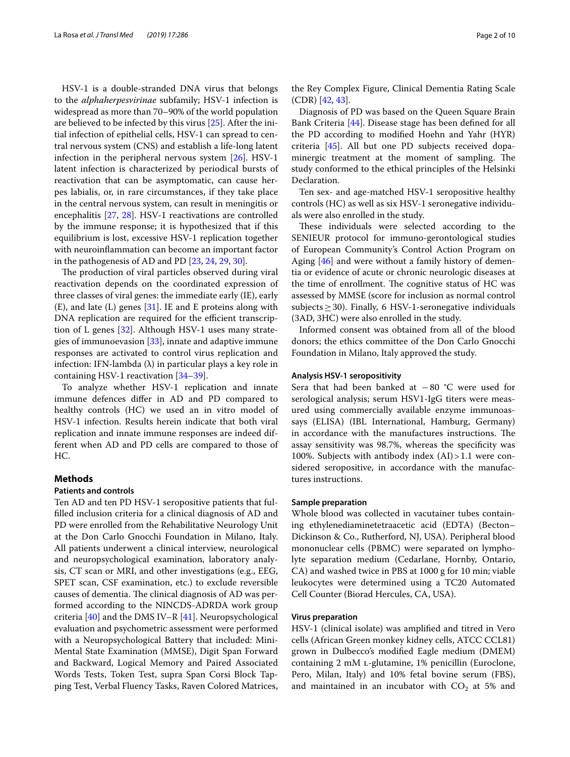HSV-1 is a double-stranded DNA virus that belongs to the *alphaherpesvirinae* subfamily; HSV-1 infection is widespread as more than 70–90% of the world population are believed to be infected by this virus [\[25\]](#page-8-16). After the initial infection of epithelial cells, HSV-1 can spread to central nervous system (CNS) and establish a life-long latent infection in the peripheral nervous system [[26\]](#page-8-17). HSV-1 latent infection is characterized by periodical bursts of reactivation that can be asymptomatic, can cause herpes labialis, or, in rare circumstances, if they take place in the central nervous system, can result in meningitis or encephalitis [\[27,](#page-8-18) [28](#page-8-19)]. HSV-1 reactivations are controlled by the immune response; it is hypothesized that if this equilibrium is lost, excessive HSV-1 replication together with neuroinfammation can become an important factor in the pathogenesis of AD and PD [\[23](#page-8-20), [24,](#page-8-15) [29,](#page-8-21) [30](#page-8-22)].

The production of viral particles observed during viral reactivation depends on the coordinated expression of three classes of viral genes: the immediate early (IE), early  $(E)$ , and late  $(L)$  genes  $[31]$  $[31]$  $[31]$ . IE and E proteins along with DNA replication are required for the efficient transcription of L genes [\[32\]](#page-8-24). Although HSV-1 uses many strategies of immunoevasion [[33\]](#page-8-25), innate and adaptive immune responses are activated to control virus replication and infection: IFN-lambda  $(\lambda)$  in particular plays a key role in containing HSV-1 reactivation [[34](#page-8-26)[–39](#page-8-27)].

To analyze whether HSV-1 replication and innate immune defences difer in AD and PD compared to healthy controls (HC) we used an in vitro model of HSV-1 infection. Results herein indicate that both viral replication and innate immune responses are indeed different when AD and PD cells are compared to those of HC.

## **Methods**

# **Patients and controls**

Ten AD and ten PD HSV-1 seropositive patients that fulflled inclusion criteria for a clinical diagnosis of AD and PD were enrolled from the Rehabilitative Neurology Unit at the Don Carlo Gnocchi Foundation in Milano, Italy. All patients underwent a clinical interview, neurological and neuropsychological examination, laboratory analysis, CT scan or MRI, and other investigations (e.g., EEG, SPET scan, CSF examination, etc.) to exclude reversible causes of dementia. The clinical diagnosis of AD was performed according to the NINCDS-ADRDA work group criteria [[40\]](#page-8-28) and the DMS IV–R [\[41](#page-9-0)]. Neuropsychological evaluation and psychometric assessment were performed with a Neuropsychological Battery that included: Mini-Mental State Examination (MMSE), Digit Span Forward and Backward, Logical Memory and Paired Associated Words Tests, Token Test, supra Span Corsi Block Tapping Test, Verbal Fluency Tasks, Raven Colored Matrices,

the Rey Complex Figure, Clinical Dementia Rating Scale (CDR) [[42,](#page-9-1) [43](#page-9-2)].

Diagnosis of PD was based on the Queen Square Brain Bank Criteria [\[44](#page-9-3)]. Disease stage has been defned for all the PD according to modifed Hoehn and Yahr (HYR) criteria [[45](#page-9-4)]. All but one PD subjects received dopaminergic treatment at the moment of sampling. The study conformed to the ethical principles of the Helsinki Declaration.

Ten sex- and age-matched HSV-1 seropositive healthy controls (HC) as well as six HSV-1 seronegative individuals were also enrolled in the study.

These individuals were selected according to the SENIEUR protocol for immuno-gerontological studies of European Community's Control Action Program on Aging [[46](#page-9-5)] and were without a family history of dementia or evidence of acute or chronic neurologic diseases at the time of enrollment. The cognitive status of HC was assessed by MMSE (score for inclusion as normal control subjects  $\geq$  30). Finally, 6 HSV-1-seronegative individuals (3AD, 3HC) were also enrolled in the study.

Informed consent was obtained from all of the blood donors; the ethics committee of the Don Carlo Gnocchi Foundation in Milano, Italy approved the study.

#### **Analysis HSV‑1 seropositivity**

Sera that had been banked at −80 °C were used for serological analysis; serum HSV1-IgG titers were measured using commercially available enzyme immunoassays (ELISA) (IBL International, Hamburg, Germany) in accordance with the manufactures instructions. The assay sensitivity was 98.7%, whereas the specifcity was 100%. Subjects with antibody index (AI)>1.1 were considered seropositive, in accordance with the manufactures instructions.

#### **Sample preparation**

Whole blood was collected in vacutainer tubes containing ethylenediaminetetraacetic acid (EDTA) (Becton– Dickinson & Co., Rutherford, NJ, USA). Peripheral blood mononuclear cells (PBMC) were separated on lympholyte separation medium (Cedarlane, Hornby, Ontario, CA) and washed twice in PBS at 1000 g for 10 min; viable leukocytes were determined using a TC20 Automated Cell Counter (Biorad Hercules, CA, USA).

# **Virus preparation**

HSV-1 (clinical isolate) was amplifed and titred in Vero cells (African Green monkey kidney cells, ATCC CCL81) grown in Dulbecco's modifed Eagle medium (DMEM) containing 2 mM l-glutamine, 1% penicillin (Euroclone, Pero, Milan, Italy) and 10% fetal bovine serum (FBS), and maintained in an incubator with  $CO<sub>2</sub>$  at 5% and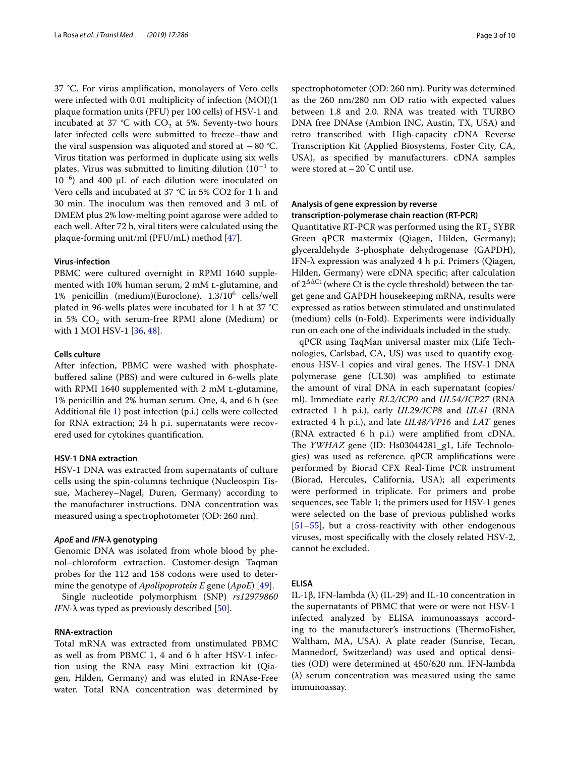37 °C. For virus amplifcation, monolayers of Vero cells were infected with 0.01 multiplicity of infection (MOI)(1 plaque formation units (PFU) per 100 cells) of HSV-1 and incubated at 37 °C with  $CO<sub>2</sub>$  at 5%. Seventy-two hours later infected cells were submitted to freeze–thaw and the viral suspension was aliquoted and stored at −80 °C. Virus titation was performed in duplicate using six wells plates. Virus was submitted to limiting dilution (10<sup>-1</sup> to 10<sup>−</sup><sup>6</sup> ) and 400 µL of each dilution were inoculated on Vero cells and incubated at 37 °C in 5% CO2 for 1 h and 30 min. The inoculum was then removed and 3 mL of DMEM plus 2% low-melting point agarose were added to each well. After 72 h, viral titers were calculated using the plaque-forming unit/ml (PFU/mL) method [[47\]](#page-9-6).

#### **Virus‑infection**

PBMC were cultured overnight in RPMI 1640 supplemented with 10% human serum, 2 mM l-glutamine, and 1% penicillin (medium)(Euroclone). 1.3/106 cells/well plated in 96-wells plates were incubated for 1 h at 37 °C in 5%  $CO<sub>2</sub>$  with serum-free RPMI alone (Medium) or with 1 MOI HSV-1 [\[36,](#page-8-29) [48](#page-9-7)].

# **Cells culture**

After infection, PBMC were washed with phosphatebufered saline (PBS) and were cultured in 6-wells plate with RPMI 1640 supplemented with 2 mM L-glutamine, 1% penicillin and 2% human serum. One, 4, and 6 h (see Additional fle [1](#page-7-0)) post infection (p.i.) cells were collected for RNA extraction; 24 h p.i. supernatants were recovered used for cytokines quantifcation.

#### **HSV‑1 DNA extraction**

HSV-1 DNA was extracted from supernatants of culture cells using the spin-columns technique (Nucleospin Tissue, Macherey–Nagel, Duren, Germany) according to the manufacturer instructions. DNA concentration was measured using a spectrophotometer (OD: 260 nm).

#### *ApoE* **and** *IFN***‑λ genotyping**

Genomic DNA was isolated from whole blood by phenol–chloroform extraction. Customer-design Taqman probes for the 112 and 158 codons were used to determine the genotype of *Apolipoprotein E* gene (*ApoE*) [[49](#page-9-8)].

Single nucleotide polymorphism (SNP) *rs12979860 IFN*- $\lambda$  was typed as previously described [\[50\]](#page-9-9).

# **RNA‑extraction**

Total mRNA was extracted from unstimulated PBMC as well as from PBMC 1, 4 and 6 h after HSV-1 infection using the RNA easy Mini extraction kit (Qiagen, Hilden, Germany) and was eluted in RNAse-Free water. Total RNA concentration was determined by

spectrophotometer (OD: 260 nm). Purity was determined as the 260 nm/280 nm OD ratio with expected values between 1.8 and 2.0. RNA was treated with TURBO DNA free DNAse (Ambion INC, Austin, TX, USA) and retro transcribed with High-capacity cDNA Reverse Transcription Kit (Applied Biosystems, Foster City, CA, USA), as specifed by manufacturers. cDNA samples were stored at  $-20$  °C until use.

# **Analysis of gene expression by reverse transcription‑polymerase chain reaction (RT‑PCR)**

Quantitative RT-PCR was performed using the  $RT_2$  SYBR Green qPCR mastermix (Qiagen, Hilden, Germany); glyceraldehyde 3-phosphate dehydrogenase (GAPDH), IFN-λ expression was analyzed 4 h p.i. Primers (Qiagen, Hilden, Germany) were cDNA specifc; after calculation of  $2^{\Delta\Delta\text{Ct}}$  (where Ct is the cycle threshold) between the target gene and GAPDH housekeeping mRNA, results were expressed as ratios between stimulated and unstimulated (medium) cells (n-Fold). Experiments were individually run on each one of the individuals included in the study.

qPCR using TaqMan universal master mix (Life Technologies, Carlsbad, CA, US) was used to quantify exogenous HSV-1 copies and viral genes. The HSV-1 DNA polymerase gene (UL30) was amplifed to estimate the amount of viral DNA in each supernatant (copies/ ml). Immediate early *RL2/ICP0* and *UL54/ICP27* (RNA extracted 1 h p.i.), early *UL29/ICP8* and *UL41* (RNA extracted 4 h p.i.), and late *UL48/VP16* and *LAT* genes (RNA extracted 6 h p.i.) were amplifed from cDNA. The *YWHAZ* gene (ID: Hs03044281\_g1, Life Technologies) was used as reference. qPCR amplifcations were performed by Biorad CFX Real-Time PCR instrument (Biorad, Hercules, California, USA); all experiments were performed in triplicate. For primers and probe sequences, see Table [1;](#page-3-0) the primers used for HSV-1 genes were selected on the base of previous published works [[51–](#page-9-10)[55\]](#page-9-11), but a cross-reactivity with other endogenous viruses, most specifcally with the closely related HSV-2, cannot be excluded.

# **ELISA**

IL-1β, IFN-lambda (λ) (IL-29) and IL-10 concentration in the supernatants of PBMC that were or were not HSV-1 infected analyzed by ELISA immunoassays according to the manufacturer's instructions (ThermoFisher, Waltham, MA, USA). A plate reader (Sunrise, Tecan, Mannedorf, Switzerland) was used and optical densities (OD) were determined at 450/620 nm. IFN-lambda (λ) serum concentration was measured using the same immunoassay.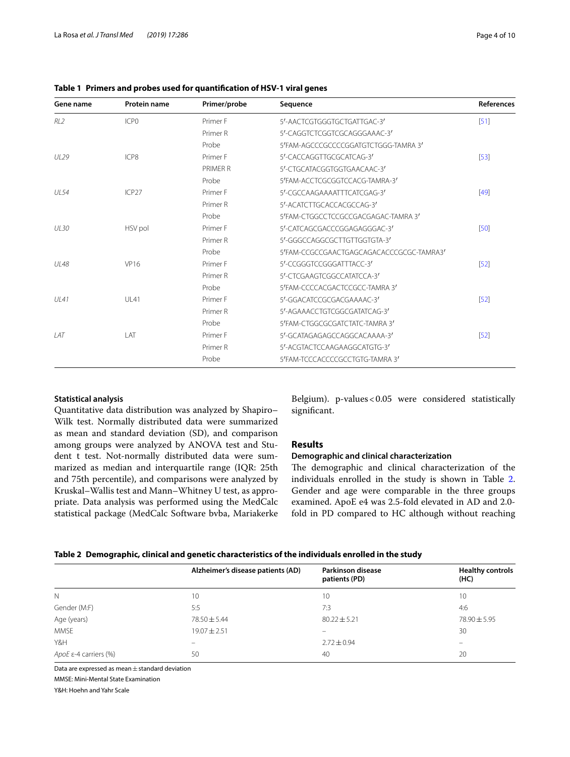| Gene name   | <b>Protein name</b> | Primer/probe | Sequence                                 | References |
|-------------|---------------------|--------------|------------------------------------------|------------|
| RL2         | ICP <sub>0</sub>    | Primer F     | 5'-AACTCGTGGGTGCTGATTGAC-3'              | [51]       |
|             |                     | Primer R     | 5'-CAGGTCTCGGTCGCAGGGAAAC-3'             |            |
|             |                     | Probe        | 5'FAM-AGCCCGCCCCGGATGTCTGGG-TAMRA 3'     |            |
| 11129       | ICP8                | Primer F     | 5'-CACCAGGTTGCGCATCAG-3'                 | $[53]$     |
|             |                     | PRIMFR R     | 5'-CTGCATACGGTGGTGAACAAC-3'              |            |
|             |                     | Probe        | 5'FAM-ACCTCGCGGTCCACG-TAMRA-3'           |            |
| <b>UL54</b> | ICP <sub>27</sub>   | Primer F     | 5'-CGCCAAGAAAATTTCATCGAG-3'              | $[49]$     |
|             |                     | Primer R     | 5'-ACATCTTGCACCACGCCAG-3'                |            |
|             |                     | Probe        | 5'FAM-CTGGCCTCCGCCGACGAGAC-TAMRA 3'      |            |
| UL 30       | HSV pol             | Primer F     | 5'-CATCAGCGACCCGGAGAGGGGAC-3'            | [50]       |
|             |                     | Primer R     | 5'-GGGCCAGGCGCTTGTTGGTGTA-3'             |            |
|             |                     | Probe        | 5'FAM-CCGCCGAACTGAGCAGACACCCGCGC-TAMRA3' |            |
| <b>UL48</b> | <b>VP16</b>         | Primer F     | 5'-CCGGGTCCGGGATTTACC-3'                 | [52]       |
|             |                     | Primer R     | 5'-CTCGAAGTCGGCCATATCCA-3'               |            |
|             |                     | Probe        | 5'FAM-CCCCACGACTCCGCC-TAMRA 3'           |            |
| <b>UL41</b> | <b>UL41</b>         | Primer F     | 5'-GGACATCCGCGACGAAAAC-3'                | [52]       |
|             |                     | Primer R     | 5'-AGAAACCTGTCGGCGATATCAG-3'             |            |
|             |                     | Probe        | 5'FAM-CTGGCGCGATCTATC-TAMRA 3'           |            |
| IAT         | LAT                 | Primer F     | 5'-GCATAGAGAGCCAGGCACAAAA-3'             | [52]       |
|             |                     | Primer R     | 5'-ACGTACTCCAAGAAGGCATGTG-3'             |            |
|             |                     | Probe        | 5'FAM-TCCCACCCCGCCTGTG-TAMRA 3'          |            |

<span id="page-3-0"></span>**Table 1 Primers and probes used for quantifcation of HSV-1 viral genes**

# **Statistical analysis**

Quantitative data distribution was analyzed by Shapiro– Wilk test. Normally distributed data were summarized as mean and standard deviation (SD), and comparison among groups were analyzed by ANOVA test and Student t test. Not-normally distributed data were summarized as median and interquartile range (IQR: 25th and 75th percentile), and comparisons were analyzed by Kruskal–Wallis test and Mann–Whitney U test, as appropriate. Data analysis was performed using the MedCalc statistical package (MedCalc Software bvba, Mariakerke Belgium). p-values<0.05 were considered statistically signifcant.

# **Results**

#### **Demographic and clinical characterization**

The demographic and clinical characterization of the individuals enrolled in the study is shown in Table [2](#page-3-1). Gender and age were comparable in the three groups examined. ApoE e4 was 2.5-fold elevated in AD and 2.0 fold in PD compared to HC although without reaching

<span id="page-3-1"></span>

|  |  | Table 2 Demographic, clinical and genetic characteristics of the individuals enrolled in the study |
|--|--|----------------------------------------------------------------------------------------------------|
|--|--|----------------------------------------------------------------------------------------------------|

|                       | Alzheimer's disease patients (AD) | Parkinson disease<br>patients (PD) | <b>Healthy controls</b><br>(HC) |
|-----------------------|-----------------------------------|------------------------------------|---------------------------------|
| N                     | 10                                | 10                                 | 10                              |
| Gender (M:F)          | 5:5                               | 7:3                                | 4:6                             |
| Age (years)           | $78.50 \pm 5.44$                  | $80.22 \pm 5.21$                   | $78.90 \pm 5.95$                |
| <b>MMSE</b>           | $19.07 \pm 2.51$                  |                                    | 30                              |
| Y&H                   | -                                 | $2.72 \pm 0.94$                    |                                 |
| ApoE ε-4 carriers (%) | 50                                | 40                                 | 20                              |
|                       |                                   |                                    |                                 |

Data are expressed as mean $\pm$ standard deviation

MMSE: Mini-Mental State Examination

Y&H: Hoehn and Yahr Scale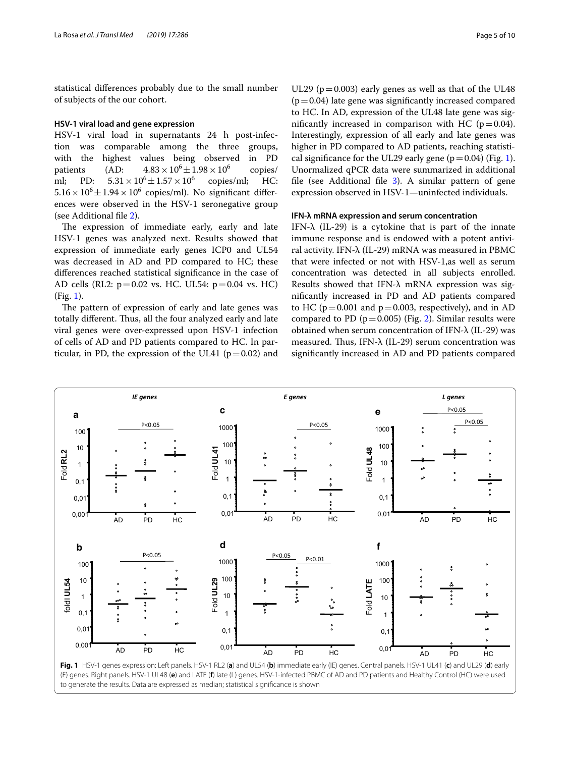statistical diferences probably due to the small number of subjects of the our cohort.

# **HSV‑1 viral load and gene expression**

HSV-1 viral load in supernatants 24 h post-infection was comparable among the three groups, with the highest values being observed in PD patients (AD:  $4.83 \times 10^6 \pm 1.98 \times 10^6$ <br>ml; PD:  $5.31 \times 10^6 \pm 1.57 \times 10^6$  copies copies/  $5.31 \times 10^6 \pm 1.57 \times 10^6$  copies/ml; HC:  $5.16 \times 10^6 \pm 1.94 \times 10^6$  copies/ml). No significant differences were observed in the HSV-1 seronegative group (see Additional fle [2\)](#page-7-1).

The expression of immediate early, early and late HSV-1 genes was analyzed next. Results showed that expression of immediate early genes ICP0 and UL54 was decreased in AD and PD compared to HC; these diferences reached statistical signifcance in the case of AD cells (RL2:  $p=0.02$  vs. HC. UL54:  $p=0.04$  vs. HC) (Fig. [1\)](#page-4-0).

The pattern of expression of early and late genes was totally different. Thus, all the four analyzed early and late viral genes were over-expressed upon HSV-1 infection of cells of AD and PD patients compared to HC. In particular, in PD, the expression of the UL41 ( $p=0.02$ ) and

UL29 ( $p=0.003$ ) early genes as well as that of the UL48  $(p=0.04)$  late gene was significantly increased compared to HC. In AD, expression of the UL48 late gene was significantly increased in comparison with HC ( $p=0.04$ ). Interestingly, expression of all early and late genes was higher in PD compared to AD patients, reaching statistical significance for the UL29 early gene  $(p=0.04)$  (Fig. [1](#page-4-0)). Unormalized qPCR data were summarized in additional file (see Additional file [3](#page-7-2)). A similar pattern of gene expression observed in HSV-1—uninfected individuals.

#### **IFN‑λ mRNA expression and serum concentration**

IFN- $\lambda$  (IL-29) is a cytokine that is part of the innate immune response and is endowed with a potent antiviral activity. IFN-λ (IL-29) mRNA was measured in PBMC that were infected or not with HSV-1,as well as serum concentration was detected in all subjects enrolled. Results showed that IFN-λ mRNA expression was signifcantly increased in PD and AD patients compared to HC ( $p = 0.001$  and  $p = 0.003$ , respectively), and in AD compared to PD ( $p=0.005$ ) (Fig. [2](#page-5-0)). Similar results were obtained when serum concentration of IFN-λ (IL-29) was measured. Thus, IFN- $\lambda$  (IL-29) serum concentration was signifcantly increased in AD and PD patients compared

<span id="page-4-0"></span>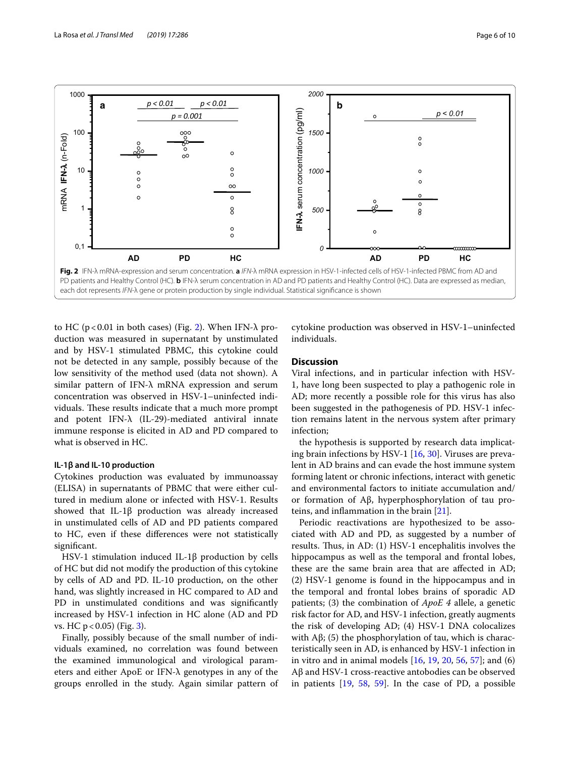

<span id="page-5-0"></span>to HC ( $p < 0.01$  in both cases) (Fig. [2](#page-5-0)). When IFN- $\lambda$  production was measured in supernatant by unstimulated and by HSV-1 stimulated PBMC, this cytokine could not be detected in any sample, possibly because of the low sensitivity of the method used (data not shown). A similar pattern of IFN-λ mRNA expression and serum concentration was observed in HSV-1–uninfected individuals. These results indicate that a much more prompt and potent IFN-λ (IL-29)-mediated antiviral innate immune response is elicited in AD and PD compared to what is observed in HC.

#### **IL‑1β and IL‑10 production**

Cytokines production was evaluated by immunoassay (ELISA) in supernatants of PBMC that were either cultured in medium alone or infected with HSV-1. Results showed that IL-1β production was already increased in unstimulated cells of AD and PD patients compared to HC, even if these diferences were not statistically signifcant.

HSV-1 stimulation induced IL-1β production by cells of HC but did not modify the production of this cytokine by cells of AD and PD. IL-10 production, on the other hand, was slightly increased in HC compared to AD and PD in unstimulated conditions and was significantly increased by HSV-1 infection in HC alone (AD and PD vs. HC p < 0.05) (Fig. [3](#page-6-0)).

Finally, possibly because of the small number of individuals examined, no correlation was found between the examined immunological and virological parameters and either ApoE or IFN-λ genotypes in any of the groups enrolled in the study. Again similar pattern of

cytokine production was observed in HSV-1–uninfected individuals.

# **Discussion**

Viral infections, and in particular infection with HSV-1, have long been suspected to play a pathogenic role in AD; more recently a possible role for this virus has also been suggested in the pathogenesis of PD. HSV-1 infection remains latent in the nervous system after primary infection;

the hypothesis is supported by research data implicating brain infections by HSV-1 [\[16,](#page-8-13) [30](#page-8-22)]. Viruses are prevalent in AD brains and can evade the host immune system forming latent or chronic infections, interact with genetic and environmental factors to initiate accumulation and/ or formation of Aβ, hyperphosphorylation of tau proteins, and infammation in the brain [[21\]](#page-8-12).

Periodic reactivations are hypothesized to be associated with AD and PD, as suggested by a number of results. Thus, in AD: (1) HSV-1 encephalitis involves the hippocampus as well as the temporal and frontal lobes, these are the same brain area that are afected in AD; (2) HSV-1 genome is found in the hippocampus and in the temporal and frontal lobes brains of sporadic AD patients; (3) the combination of *ApoE 4* allele, a genetic risk factor for AD, and HSV-1 infection, greatly augments the risk of developing AD; (4) HSV-1 DNA colocalizes with  $\text{A}\beta$ ; (5) the phosphorylation of tau, which is characteristically seen in AD, is enhanced by HSV-1 infection in in vitro and in animal models [\[16](#page-8-13), [19,](#page-8-30) [20,](#page-8-31) [56](#page-9-14), [57](#page-9-15)]; and (6) Aβ and HSV-1 cross-reactive antobodies can be observed in patients [[19,](#page-8-30) [58](#page-9-16), [59](#page-9-17)]. In the case of PD, a possible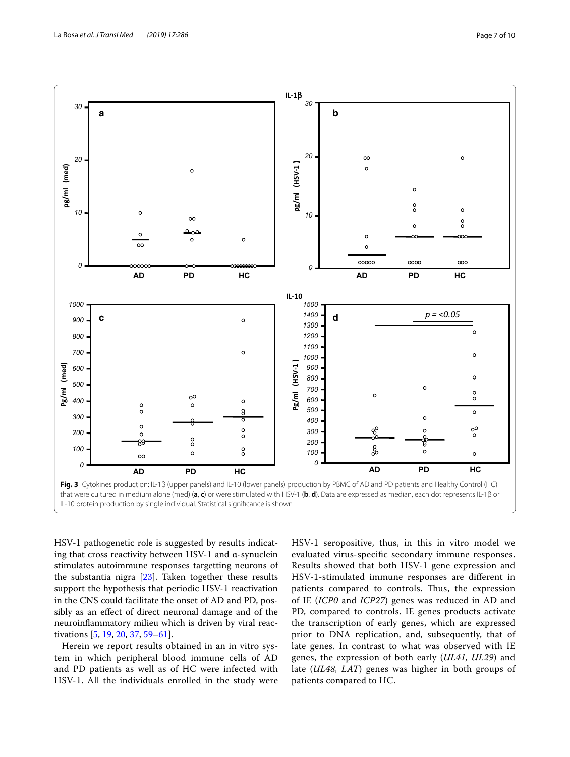

<span id="page-6-0"></span>HSV-1 pathogenetic role is suggested by results indicating that cross reactivity between HSV-1 and  $\alpha$ -synuclein stimulates autoimmune responses targetting neurons of the substantia nigra [\[23](#page-8-20)]. Taken together these results support the hypothesis that periodic HSV-1 reactivation in the CNS could facilitate the onset of AD and PD, possibly as an efect of direct neuronal damage and of the neuroinfammatory milieu which is driven by viral reactivations [\[5](#page-8-4), [19,](#page-8-30) [20](#page-8-31), [37](#page-8-32), [59–](#page-9-17)[61\]](#page-9-18).

Herein we report results obtained in an in vitro system in which peripheral blood immune cells of AD and PD patients as well as of HC were infected with HSV-1. All the individuals enrolled in the study were HSV-1 seropositive, thus, in this in vitro model we evaluated virus-specifc secondary immune responses. Results showed that both HSV-1 gene expression and HSV-1-stimulated immune responses are diferent in patients compared to controls. Thus, the expression of IE (*ICP0* and *ICP27*) genes was reduced in AD and PD, compared to controls. IE genes products activate the transcription of early genes, which are expressed prior to DNA replication, and, subsequently, that of late genes. In contrast to what was observed with IE genes, the expression of both early (*UL41, UL29*) and late (*UL48, LAT*) genes was higher in both groups of patients compared to HC.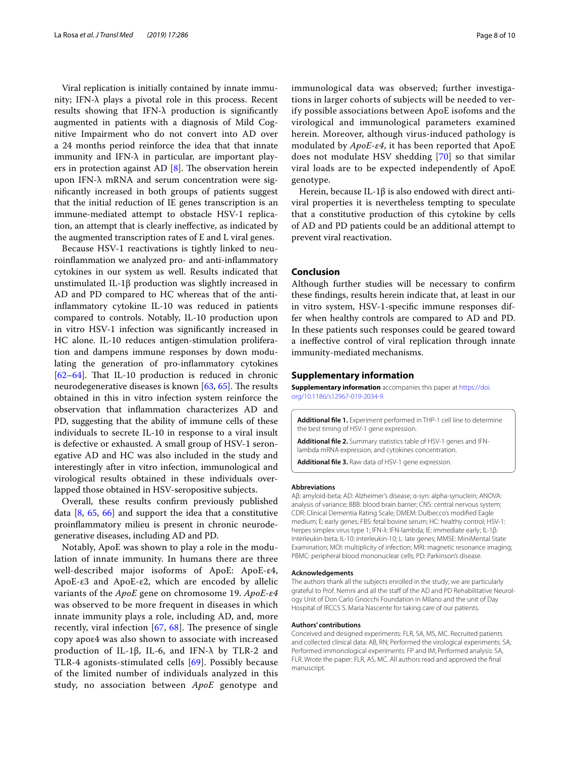Viral replication is initially contained by innate immunity; IFN-λ plays a pivotal role in this process. Recent results showing that IFN- $\lambda$  production is significantly augmented in patients with a diagnosis of Mild Cognitive Impairment who do not convert into AD over a 24 months period reinforce the idea that that innate immunity and IFN-λ in particular, are important players in protection against AD  $[8]$  $[8]$ . The observation herein upon IFN-λ mRNA and serum concentration were signifcantly increased in both groups of patients suggest that the initial reduction of IE genes transcription is an immune-mediated attempt to obstacle HSV-1 replication, an attempt that is clearly inefective, as indicated by the augmented transcription rates of E and L viral genes.

Because HSV-1 reactivations is tightly linked to neuroinfammation we analyzed pro- and anti-infammatory cytokines in our system as well. Results indicated that unstimulated IL-1β production was slightly increased in AD and PD compared to HC whereas that of the antiinfammatory cytokine IL-10 was reduced in patients compared to controls. Notably, IL-10 production upon in vitro HSV-1 infection was signifcantly increased in HC alone. IL-10 reduces antigen-stimulation proliferation and dampens immune responses by down modulating the generation of pro-infammatory cytokines  $[62-64]$  $[62-64]$  $[62-64]$ . That IL-10 production is reduced in chronic neurodegenerative diseases is known  $[63, 65]$  $[63, 65]$  $[63, 65]$ . The results obtained in this in vitro infection system reinforce the observation that infammation characterizes AD and PD, suggesting that the ability of immune cells of these individuals to secrete IL-10 in response to a viral insult is defective or exhausted. A small group of HSV-1 seronegative AD and HC was also included in the study and interestingly after in vitro infection, immunological and virological results obtained in these individuals overlapped those obtained in HSV-seropositive subjects.

Overall, these results confrm previously published data  $[8, 65, 66]$  $[8, 65, 66]$  $[8, 65, 66]$  $[8, 65, 66]$  $[8, 65, 66]$  $[8, 65, 66]$  and support the idea that a constitutive proinfammatory milieu is present in chronic neurodegenerative diseases, including AD and PD.

Notably, ApoE was shown to play a role in the modulation of innate immunity. In humans there are three well-described major isoforms of ApoE: ApoE-ε4, ApoE-ε3 and ApoE-ε2, which are encoded by allelic variants of the *ApoE* gene on chromosome 19. *ApoE*-*ε4* was observed to be more frequent in diseases in which innate immunity plays a role, including AD, and, more recently, viral infection  $[67, 68]$  $[67, 68]$  $[67, 68]$  $[67, 68]$ . The presence of single copy apoε4 was also shown to associate with increased production of IL-1β, IL-6, and IFN-λ by TLR-2 and TLR-4 agonists-stimulated cells [[69](#page-9-26)]. Possibly because of the limited number of individuals analyzed in this study, no association between *ApoE* genotype and immunological data was observed; further investigations in larger cohorts of subjects will be needed to verify possible associations between ApoE isofoms and the virological and immunological parameters examined herein. Moreover, although virus-induced pathology is modulated by *ApoE*-*ε4*, it has been reported that ApoE does not modulate HSV shedding [[70\]](#page-9-27) so that similar viral loads are to be expected independently of ApoE genotype.

Herein, because IL-1β is also endowed with direct antiviral properties it is nevertheless tempting to speculate that a constitutive production of this cytokine by cells of AD and PD patients could be an additional attempt to prevent viral reactivation.

# **Conclusion**

Although further studies will be necessary to confrm these fndings, results herein indicate that, at least in our in vitro system, HSV-1-specifc immune responses differ when healthy controls are compared to AD and PD. In these patients such responses could be geared toward a inefective control of viral replication through innate immunity-mediated mechanisms.

#### **Supplementary information**

**Supplementary information** accompanies this paper at [https://doi.](https://doi.org/10.1186/s12967-019-2034-9) [org/10.1186/s12967-019-2034-9.](https://doi.org/10.1186/s12967-019-2034-9)

<span id="page-7-1"></span><span id="page-7-0"></span>**Additional fle 1.** Experiment performed in THP-1 cell line to determine the best timing of HSV-1 gene expression.

<span id="page-7-2"></span>**Additional fle 2.** Summary statistics table of HSV-1 genes and IFNlambda mRNA expression, and cytokines concentration.

**Additional fle 3.** Raw data of HSV-1 gene expression.

#### **Abbreviations**

Aβ: amyloid-beta; AD: Alzheimer's disease; α-syn: alpha-synuclein; ANOVA: analysis of variance; BBB: blood brain barrier; CNS: central nervous system; CDR: Clinical Dementia Rating Scale; DMEM: Dulbecco's modifed Eagle medium; E: early genes; FBS: fetal bovine serum; HC: healthy control; HSV-1: herpes simplex virus type 1; IFN-λ: IFN-lambda; IE: immediate early; IL-1β: Interleukin-beta; IL-10: interleukin-10; L: late genes; MMSE: MiniMental State Examination; MOI: multiplicity of infection; MRI: magnetic resonance imaging; PBMC: peripheral blood mononuclear cells; PD: Parkinson's disease.

#### **Acknowledgements**

The authors thank all the subjects enrolled in the study; we are particularly grateful to Prof. Nemni and all the staf of the AD and PD Rehabilitative Neurology Unit of Don Carlo Gnocchi Foundation in Milano and the unit of Day Hospital of IRCCS S. Maria Nascente for taking care of our patients.

#### **Authors' contributions**

Conceived and designed experiments: FLR, SA, MS, MC. Recruited patients and collected clinical data: AB, RN; Performed the virological experiments: SA; Performed immonological experiments: FP and IM; Performed analysis: SA, FLR. Wrote the paper: FLR, AS, MC. All authors read and approved the fnal manuscript.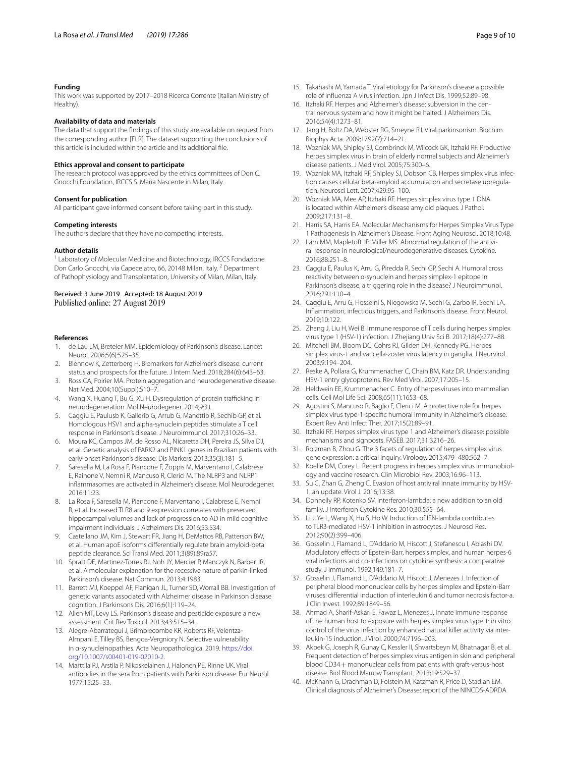#### **Funding**

This work was supported by 2017–2018 Ricerca Corrente (Italian Ministry of Healthy).

#### **Availability of data and materials**

The data that support the fndings of this study are available on request from the corresponding author [FLR]. The dataset supporting the conclusions of this article is included within the article and its additional fle.

# **Ethics approval and consent to participate**

The research protocol was approved by the ethics committees of Don C. Gnocchi Foundation, IRCCS S. Maria Nascente in Milan, Italy.

#### **Consent for publication**

All participant gave informed consent before taking part in this study.

#### **Competing interests**

The authors declare that they have no competing interests.

#### **Author details**

<sup>1</sup> Laboratory of Molecular Medicine and Biotechnology, IRCCS Fondazione Don Carlo Gnocchi, via Capecelatro, 66, 20148 Milan, Italy. <sup>2</sup> Department of Pathophysiology and Transplantation, University of Milan, Milan, Italy.

#### Received: 3 June 2019 Accepted: 18 August 2019 Published online: 27 August 2019

#### **References**

- <span id="page-8-0"></span>1. de Lau LM, Breteler MM. Epidemiology of Parkinson's disease. Lancet Neurol. 2006;5(6):525–35.
- <span id="page-8-1"></span>2. Blennow K, Zetterberg H. Biomarkers for Alzheimer's disease: current status and prospects for the future. J Intern Med. 2018;284(6):643–63.
- <span id="page-8-2"></span>3. Ross CA, Poirier MA. Protein aggregation and neurodegenerative disease. Nat Med. 2004;10(Suppl):S10–7.
- <span id="page-8-3"></span>4. Wang X, Huang T, Bu G, Xu H. Dysregulation of protein trafficking in neurodegeneration. Mol Neurodegener. 2014;9:31.
- <span id="page-8-4"></span>5. Caggiu E, Paulusb K, Gallerib G, Arrub G, Manettib R, Sechib GP, et al. Homologous HSV1 and alpha-synuclein peptides stimulate a T cell response in Parkinson's disease. J Neuroimmunol. 2017;310:26–33.
- <span id="page-8-5"></span>6. Moura KC, Campos JM, de Rosso AL, Nicaretta DH, Pereira JS, Silva DJ, et al. Genetic analysis of PARK2 and PINK1 genes in Brazilian patients with early-onset Parkinson's disease. Dis Markers. 2013;35(3):181–5.
- 7. Saresella M, La Rosa F, Piancone F, Zoppis M, Marventano I, Calabrese E, Rainone V, Nemni R, Mancuso R, Clerici M. The NLRP3 and NLRP1 infammasomes are activated in Alzheimer's disease. Mol Neurodegener. 2016;11:23.
- <span id="page-8-6"></span>8. La Rosa F, Saresella M, Piancone F, Marventano I, Calabrese E, Nemni R, et al. Increased TLR8 and 9 expression correlates with preserved hippocampal volumes and lack of progression to AD in mild cognitive impairment individuals. J Alzheimers Dis. 2016;53:S34.
- <span id="page-8-7"></span>9. Castellano JM, Kim J, Stewart FR, Jiang H, DeMattos RB, Patterson BW, et al. Human apoE isoforms diferentially regulate brain amyloid-beta peptide clearance. Sci Transl Med. 2011;3(89):89ra57.
- 10. Spratt DE, Martinez-Torres RJ, Noh JY, Mercier P, Manczyk N, Barber JR, et al. A molecular explanation for the recessive nature of parkin-linked Parkinson's disease. Nat Commun. 2013;4:1983.
- <span id="page-8-8"></span>11. Barrett MJ, Koeppel AF, Flanigan JL, Turner SD, Worrall BB. Investigation of genetic variants associated with Alzheimer disease in Parkinson disease cognition. J Parkinsons Dis. 2016;6(1):119–24.
- <span id="page-8-9"></span>12. Allen MT, Levy LS. Parkinson's disease and pesticide exposure a new assessment. Crit Rev Toxicol. 2013;43:515–34.
- <span id="page-8-10"></span>13. Alegre-Abarrategui J, Brimblecombe KR, Roberts RF, Velentza-Almpani E, Tilley BS, Bengoa-Vergniory N. Selective vulnerability in α-synucleinopathies. Acta Neuropathologica. 2019. [https://doi.](https://doi.org/10.1007/s00401-019-02010-2) [org/10.1007/s00401-019-02010-2](https://doi.org/10.1007/s00401-019-02010-2).
- <span id="page-8-11"></span>14. Marttila RJ, Arstila P, Nikoskelainen J, Halonen PE, Rinne UK. Viral antibodies in the sera from patients with Parkinson disease. Eur Neurol. 1977;15:25–33.
- 15. Takahashi M, Yamada T. Viral etiology for Parkinson's disease a possible role of infuenza A virus infection. Jpn J Infect Dis. 1999;52:89–98.
- <span id="page-8-13"></span>16. Itzhaki RF. Herpes and Alzheimer's disease: subversion in the central nervous system and how it might be halted. J Alzheimers Dis. 2016;54(4):1273–81.
- 17. Jang H, Boltz DA, Webster RG, Smeyne RJ. Viral parkinsonism. Biochim Biophys Acta. 2009;1792(7):714–21.
- 18. Wozniak MA, Shipley SJ, Combrinck M, Wilcock GK, Itzhaki RF. Productive herpes simplex virus in brain of elderly normal subjects and Alzheimer's disease patients. J Med Virol. 2005;75:300–6.
- <span id="page-8-30"></span>19. Wozniak MA, Itzhaki RF, Shipley SJ, Dobson CB. Herpes simplex virus infection causes cellular beta-amyloid accumulation and secretase upregulation. Neurosci Lett. 2007;429:95–100.
- <span id="page-8-31"></span>20. Wozniak MA, Mee AP, Itzhaki RF. Herpes simplex virus type 1 DNA is located within Alzheimer's disease amyloid plaques. J Pathol. 2009;217:131–8.
- <span id="page-8-12"></span>21. Harris SA, Harris EA. Molecular Mechanisms for Herpes Simplex Virus Type 1 Pathogenesis in Alzheimer's Disease. Front Aging Neurosci. 2018;10:48.
- <span id="page-8-14"></span>22. Lam MM, Mapletoft JP, Miller MS. Abnormal regulation of the antiviral response in neurological/neurodegenerative diseases. Cytokine. 2016;88:251–8.
- <span id="page-8-20"></span>23. Caggiu E, Paulus K, Arru G, Piredda R, Sechi GP, Sechi A. Humoral cross reactivity between α-synuclein and herpes simplex-1 epitope in Parkinson's disease, a triggering role in the disease? J Neuroimmunol. 2016;291:110–4.
- <span id="page-8-15"></span>24. Caggiu E, Arru G, Hosseini S, Niegowska M, Sechi G, Zarbo IR, Sechi LA. Infammation, infectious triggers, and Parkinson's disease. Front Neurol. 2019;10:122.
- <span id="page-8-16"></span>25. Zhang J, Liu H, Wei B. Immune response of T cells during herpes simplex virus type 1 (HSV-1) infection. J Zhejiang Univ Sci B. 2017;18(4):277–88.
- <span id="page-8-17"></span>26. Mitchell BM, Bloom DC, Cohrs RJ, Gilden DH, Kennedy PG. Herpes simplex virus-1 and varicella-zoster virus latency in ganglia. J Neurvirol. 2003;9:194–204.
- <span id="page-8-18"></span>27. Reske A, Pollara G, Krummenacher C, Chain BM, Katz DR. Understanding HSV-1 entry glycoproteins. Rev Med Virol. 2007;17:205–15.
- <span id="page-8-19"></span>28. Heldwein EE, Krummenacher C. Entry of herpesviruses into mammalian cells. Cell Mol Life Sci. 2008;65(11):1653–68.
- <span id="page-8-21"></span>29. Agostini S, Mancuso R, Baglio F, Clerici M. A protective role for herpes simplex virus type-1-specifc humoral immunity in Alzheimer's disease. Expert Rev Anti Infect Ther. 2017;15(2):89–91.
- <span id="page-8-22"></span>30. Itzhaki RF. Herpes simplex virus type 1 and Alzheimer's disease: possible mechanisms and signposts. FASEB. 2017;31:3216–26.
- <span id="page-8-23"></span>31. Roizman B, Zhou G. The 3 facets of regulation of herpes simplex virus gene expression: a critical inquiry. Virology. 2015;479–480:562–7.
- <span id="page-8-24"></span>32. Koelle DM, Corey L. Recent progress in herpes simplex virus immunobiology and vaccine research. Clin Microbiol Rev. 2003;16:96–113.
- <span id="page-8-25"></span>33. Su C, Zhan G, Zheng C. Evasion of host antiviral innate immunity by HSV-1, an update. Virol J. 2016;13:38.
- <span id="page-8-26"></span>34. Donnelly RP, Kotenko SV. Interferon-lambda: a new addition to an old family. J Interferon Cytokine Res. 2010;30:555–64.
- 35. Li J, Ye L, Wang X, Hu S, Ho W. Induction of IFN-lambda contributes to TLR3-mediated HSV-1 inhibition in astrocytes. J Neurosci Res. 2012;90(2):399–406.
- <span id="page-8-29"></span>36. Gosselin J, Flamand L, D'Addario M, Hiscott J, Stefanescu I, Ablashi DV. Modulatory efects of Epstein-Barr, herpes simplex, and human herpes-6 viral infections and co-infections on cytokine synthesis: a comparative study. J Immunol. 1992;149:181–7.
- <span id="page-8-32"></span>37. Gosselin J, Flamand L, D'Addario M, Hiscott J, Menezes J. Infection of peripheral blood mononuclear cells by herpes simplex and Epstein-Barr viruses: diferential induction of interleukin 6 and tumor necrosis factor-a. J Clin Invest. 1992;89:1849–56.
- 38. Ahmad A, Sharif-Askari E, Fawaz L, Menezes J. Innate immune response of the human host to exposure with herpes simplex virus type 1: in vitro control of the virus infection by enhanced natural killer activity via interleukin-15 induction. J Virol. 2000;74:7196–203.
- <span id="page-8-27"></span>39. Akpek G, Joseph R, Gunay C, Kessler II, Shvartsbeyn M, Bhatnagar B, et al. Frequent detection of herpes simplex virus antigen in skin and peripheral blood CD34+mononuclear cells from patients with graft-versus-host disease. Biol Blood Marrow Transplant. 2013;19:529–37.
- <span id="page-8-28"></span>40. McKhann G, Drachman D, Folstein M, Katzman R, Price D, Stadlan EM. Clinical diagnosis of Alzheimer's Disease: report of the NINCDS-ADRDA